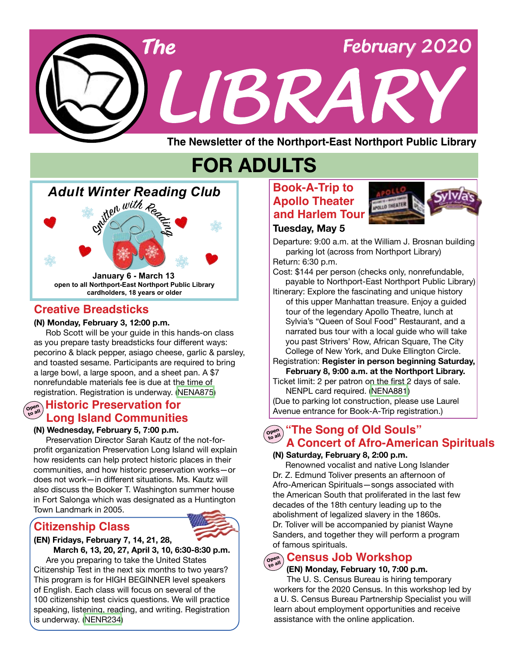

# **FOR ADULTS**

# *Adult Winter Reading Club*



**open to all Northport-East Northport Public Library cardholders, 18 years or older January 6 - March 13**

# **Creative Breadsticks**

## **(N) Monday, February 3, 12:00 p.m.**

 Rob Scott will be your guide in this hands-on class as you prepare tasty breadsticks four different ways: pecorino & black pepper, asiago cheese, garlic & parsley, and toasted sesame. Participants are required to bring a large bowl, a large spoon, and a sheet pan. A \$7 nonrefundable materials fee is due at the time of registration. Registration is underway. ([NENA875\)](https://search.livebrary.com/record=g1096586~S43)

#### **Open to all Historic Preservation for Long Island Communities**

#### **(N) Wednesday, February 5, 7:00 p.m.**

 Preservation Director Sarah Kautz of the not-forprofit organization Preservation Long Island will explain how residents can help protect historic places in their communities, and how historic preservation works—or does not work—in different situations. Ms. Kautz will also discuss the Booker T. Washington summer house in Fort Salonga which was designated as a Huntington Town Landmark in 2005.

# **Citizenship Class**



## **(EN) Fridays, February 7, 14, 21, 28,**

 **March 6, 13, 20, 27, April 3, 10, 6:30-8:30 p.m.** Are you preparing to take the United States Citizenship Test in the next six months to two years? This program is for HIGH BEGINNER level speakers of English. Each class will focus on several of the 100 citizenship test civics questions. We will practice speaking, listening, reading, and writing. Registration is underway. ([NENR234\)](https://search.livebrary.com/record=g1097102~S43)

# **Book-A-Trip to Apollo Theater and Harlem Tour**



# **Tuesday, May 5**

Departure: 9:00 a.m. at the William J. Brosnan building parking lot (across from Northport Library)

Return: 6:30 p.m.

Cost: \$144 per person (checks only, nonrefundable, payable to Northport-East Northport Public Library)

Itinerary: Explore the fascinating and unique history of this upper Manhattan treasure. Enjoy a guided tour of the legendary Apollo Theatre, lunch at Sylvia's "Queen of Soul Food" Restaurant, and a narrated bus tour with a local guide who will take you past Strivers' Row, African Square, The City College of New York, and Duke Ellington Circle.

Registration: **Register in person beginning Saturday, February 8, 9:00 a.m. at the Northport Library.**

Ticket limit: 2 per patron on the first 2 days of sale. NENPL card required. [\(NENA](https://search.livebrary.com/record=g1097521~S43)881)

(Due to parking lot construction, please use Laurel Avenue entrance for Book-A-Trip registration.)

**Open The Song of Old Souls" A Concert of Afro-American Spirituals**

## **(N) Saturday, February 8, 2:00 p.m.**

Renowned vocalist and native Long Islander Dr. Z. Edmund Toliver presents an afternoon of Afro-American Spirituals—songs associated with the American South that proliferated in the last few decades of the 18th century leading up to the abolishment of legalized slavery in the 1860s. Dr. Toliver will be accompanied by pianist Wayne Sanders, and together they will perform a program of famous spirituals.

# $\sigma_{\mathbf{p}_{\text{eq}}}$  Census Job Workshop

## **(EN) Monday, February 10, 7:00 p.m.**

The U. S. Census Bureau is hiring temporary workers for the 2020 Census. In this workshop led by a U. S. Census Bureau Partnership Specialist you will learn about employment opportunities and receive assistance with the online application.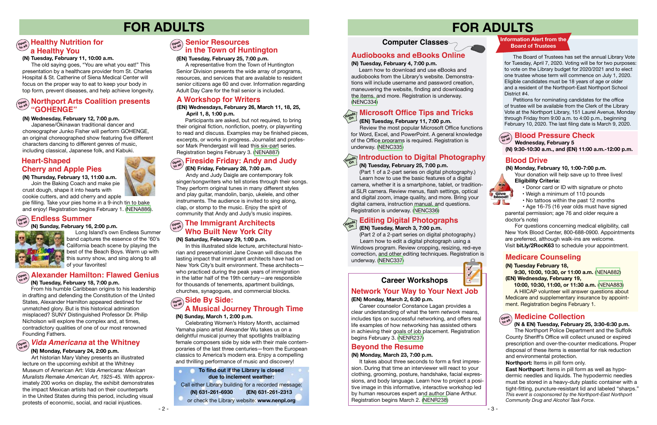# **FOR ADULTS FOR ADULTS**



#### **(N) Tuesday, February 18, 7:00 p.m.**

From his humble Caribbean origins to his leadership in drafting and defending the Constitution of the United States, Alexander Hamilton appeared destined for unmatched glory. But is this historical admiration misplaced? SUNY Distinguished Professor Dr. Philip Nicholson will explore the complex and, at times, contradictory qualities of one of our most renowned Founding Fathers.

## **(N) Monday, February 24, 2:00 p.m.**

Art historian Mary Vahey presents an illustrated lecture on the upcoming exhibit at the Whitney Museum of American Art: *Vida Americana: Mexican Muralists Remake American Art, 1925-45.* With approximately 200 works on display, the exhibit demonstrates the impact Mexican artists had on their counterparts in the United States during this period, including visual protests of economic, social, and racial injustices.

#### **(EN) Tuesday, February 25, 7:00 p.m.**

 A representative from the Town of Huntington Senior Division presents the wide array of programs, resources, and services that are available to resident senior citizens age 60 and over. Information regarding Adult Day Care for the frail senior is included.

#### **(N) Saturday, February 29, 1:00 p.m.**

In this illustrated slide lecture, architectural historian and preservationist Jane Cowan will discuss the lasting impact that immigrant architects have had on New York City's built environment. These architects who practiced during the peak years of immigration in the latter half of the 19th century—are responsible for thousands of tenements, apartment buildings, churches, synagogues, and commercial blocks.

# **Blood Drive**

 **(N) Monday, February 10, 1:00-7:00 p.m.**

 Your donation will help save up to three lives!  **Eligibility Criteria:**



- Donor card or ID with signature or photo
- Weigh a minimum of 110 pounds
- No tattoos within the past 12 months

 • Age 16-75 (16 year olds must have signed parental permission; age 76 and older require a

doctor's note)

For questions concerning medical eligibility, call New York Blood Center, 800-688-0900. Appointments are preferred, although walk-ins are welcome. Visit **bit.ly/2RocK63** to schedule your appointment.

# **(EN) Friday, February 28, 7:00 p.m.**

Andy and Judy Daigle are contemporary folk singer/songwriters who tell stories through their songs. They perform original tunes in many different styles and play guitar, mandolin, banjo, ukelele, and other instruments. The audience is invited to sing along, clap, or stomp to the music. Enjoy the spirit of community that Andy and Judy's music inspires.

# **Senior Resources in the Town of Huntington**

#### **Information Alert from the Board of Trustees**

# $\widehat{\mathbb{C}}_{\mathbb{C}}^{\text{open}}$  Healthy Nutrition for **a Healthy You**

 The Board of Trustees has set the annual Library Vote for Tuesday, April 7, 2020. Voting will be for two purposes: to vote on the Library budget for 2020/2021 and to elect one trustee whose term will commence on July 1, 2020. Eligible candidates must be 18 years of age or older and a resident of the Northport-East Northport School District #4.

Participants are asked, but not required, to bring their original fiction, nonfiction, poetry, or playwriting to read and discuss. Examples may be finished pieces, excerpts, or works in progress. Journalist and professor Mark Prendergast will lead this six-part series. Registration begins February 3. [\(NENA887](https://search.livebrary.com/record=g1097491~S43))

# $\sigma_{\text{max}}^{\text{max}}$  Fireside Friday: Andy and Judy

# **Northport Arts Coalition presents "GOHENGE"**

 Petitions for nominating candidates for the office of trustee will be available from the Clerk of the Library Vote at the Northport Library, 151 Laurel Avenue, Monday through Friday from 9:00 a.m. to 4:00 p.m., beginning February 10, 2020. The last filing date is March 9, 2020.

#### *Vida Americana* **at the Whitney Open to all**

#### **Alexander Hamilton: Flawed Genius Open to all**

# **The Immigrant Architects Who Built New York City**

#### **(N & EN) Tuesday, February 25, 3:30-6:30 p.m.**

 The Northport Police Department and the Suffolk County Sheriff's Office will collect unused or expired prescription and over-the-counter medications. Proper disposal of these items is essential for risk reduction and environmental protection.

**Northport:** Items in pill form only.

**East Northport**: Items in pill form as well as hypodermic needles and liquids. The hypodermic needles must be stored in a heavy-duty plastic container with a tight-fitting, puncture-resistant lid and labeled "sharps." *This event is cosponsored by the Northport-East Northport Community Drug and Alcohol Task Force*.

# **Side By Side: Open to all A Musical Journey Through Time (N) Sunday, March 1, 2:00 p.m.**

#### **Wednesday, February 5 Open Blood Pressure Check**

Celebrating Women's History Month, acclaimed Yamaha piano artist Alexander Wu takes us on a delightful musical journey that spotlights trailblazing female composers side by side with their male contemporaries of the last three centuries—from the European classics to America's modern era. Enjoy a compelling and thrilling performance of music and discovery!

# **Heart-Shaped Cherry and Apple Pies**

#### **To find out if the Library is closed due to inclement weather:**

#### **Open Endless Summer**

# **Computer Classes**

#### **(EN) Tuesday, February 11, 7:00 p.m.**

 Review the most popular Microsoft Office functions for Word, Excel, and PowerPoint. A general knowledge of the Office programs is required. Registration is underway. [\(NENC335](https://search.livebrary.com/record=g1087109~S43))

**On**

#### **(N) Tuesday, February 25, 7:00 p.m.**

 (Part 1 of a 2-part series on digital photography.) Learn how to use the basic features of a digital camera, whether it is a smartphone, tablet, or traditional SLR camera. Review menus, flash settings, optical and digital zoom, image quality, and more. Bring your digital camera, instruction manual, and questions. Registration is underway. [\(NENC336\)](https://search.livebrary.com/record=g1090103~S43)

#### **(N) Tuesday, February 11, 10:00 a.m.**

 The old saying goes, "You are what you eat!" This presentation by a healthcare provider from St. Charles Hospital & St. Catherine of Siena Medical Center will focus on the proper way to eat to keep your body in top form, prevent diseases, and help achieve longevity.

#### **(N) Wednesday, February 12, 7:00 p.m.**

 Japanese/Okinawan traditional dancer and choreographer Junko Fisher will perform GOHENGE, an original choreographed show featuring five different characters dancing to different genres of music, including classical, Japanese folk, and Kabuki.

# **A Workshop for Writers**

#### **(EN) Wednesdays, February 26, March 11, 18, 25, April 1, 8, 1:00 p.m.**

# **Introduction to Digital Photography Hands On**

**(N) Thursday, February 13, 11:00 a.m.** Join the Baking Coach and make pie



crust dough, shape it into hearts with cookie cutters, and add cherry and apple

pie filling. Take your pies home in a 9-inch tin to bake and enjoy! Registration begins February 1. [\(NENA886\)](https://search.livebrary.com/record=g1097498~S43).

## **Network Your Way to Your Next Job (EN) Monday, March 2, 6:30 p.m.**

Career counselor Constance Lagan provides a clear understanding of what the term *network* means, includes tips on successful networking, and offers real life examples of how networking has assisted others in achieving their goals of job placement. Registration begins February 3. [\(NENR237](https://search.livebrary.com/record=g1097537~S43))

# **Beyond the Resume**

#### **(N) Monday, March 23, 7:00 p.m.**

 It takes about three seconds to form a first impression. During that time an interviewer will react to your clothing, grooming, posture, handshake, facial expressions, and body language. Learn how to project a positive image in this informative, interactive workshop led by human resources expert and author Diane Arthur. Registration begins March 2. [\(NENR238\)](https://search.livebrary.com/record=g1097539~S43)

# **Career Workshops**

# **Audiobooks and eBooks Online**

#### **(N) Tuesday, February 4, 7:00 p.m.**

Learn how to download and use eBooks and audiobooks from the Library's website. Demonstrations will include username and password creation, maneuvering the website, finding and downloading the items, and more. Registration is underway. [\(NENC334\)](https://search.livebrary.com/record=g1087108~S43)

# **Microsoft Office Tips and Tricks**

#### **(EN) Tuesday, March 3, 7:00 p.m.**

 (Part 2 of a 2-part series on digital photography.) Learn how to edit a digital photograph using a

Windows program. Review cropping, resizing, red-eye correction, and other editing techniques. Registration is underway. ([NENC337](https://search.livebrary.com/record=g1090159~S43))

#### **Editing Digital Photographs Hands On**

## **(N) Tuesday February 18, 9:30, 10:00, 10:30, or 11:00 a.m.** ([NENA882\)](https://search.livebrary.com/record=g1097499~S43)

# **(EN) Wednesday, February 19,**

 **10:00, 10:30, 11:00, or 11:30 a.m.** ([NENA883\)](https://search.livebrary.com/record=g1097500~S43) A HIICAP volunteer will answer questions about Medicare and supplementary insurance by appointment. Registration begins February 1.

# $\widehat{\mathcal{C}}_{\mathcal{D}^{\text{opt}}}^{\text{opt}}$  **Medicine Collection**

# **Medicare Counseling**

**(N) 9:30-10:30 a.m., and (EN) 11:00 a.m.-12:00 p.m.**

 **(N) 631-261-6930 (EN) 631-261-2313** Call either Library building for a recorded message: or check the Library website: **www.nenpl.org**

#### **(N) Sunday, February 16, 2:00 p.m.**



Long Island's own Endless Summer band captures the essence of the '60's California beach scene by playing the best of the Beach Boys. Warm up with this sunny show, and sing along to all of your favorites!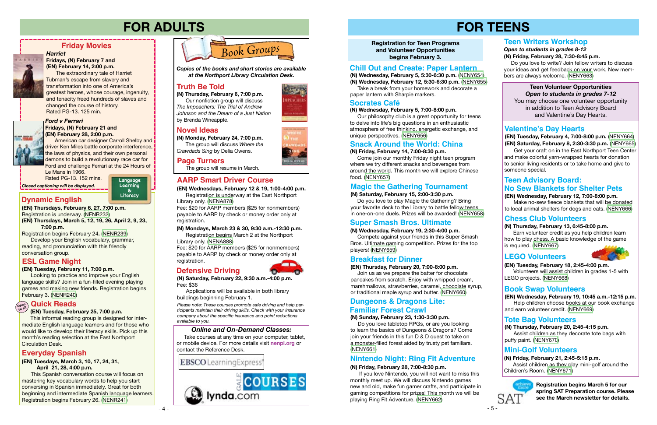**Registration for Teen Programs and Volunteer Opportunities begins February 3.**

# **FOR TEENS**

# **(EN) Tuesday, February 18, 2:45-4:00 p.m.**

 Volunteers will assist children in grades 1-5 with LEGO projects. [\(NENY668](https://search.livebrary.com/record=g1097419~S43))

 **(EN) Tuesday, February 4, 7:00-8:00 p.m.** [\(NENY664](https://search.livebrary.com/record=g1097415~S43))  **(EN) Saturday, February 8, 2:30-3:30 p.m.** ([NENY665](https://search.livebrary.com/record=g1097416~S43))

Get your craft on in the East Northport Teen Center and make colorful yarn-wrapped hearts for donation to senior living residents or to take home and give to someone special.

# **FOR ADULTS**

**(N) Monday, February 24, 7:00 p.m.**

 The group will discuss *Where the Crawdads Sing* by Delia Owens.





# *Ford v Ferrari*

#### **Fridays, (N) February 21 and (EN) February 28, 2:00 p.m.**

American car designer Carroll Shelby and driver Ken Miles battle corporate interference, the laws of physics, and their own personal demons to build a revolutionary race car for Ford and challenge Ferrari at the 24 Hours of Le Mans in 1966.

Rated PG-13. 152 mins.

**Friday Movies**

# **LEGO Volunteers**



#### **(EN) Wednesday, February 12, 7:00-8:00 p.m.** Make no-sew fleece blankets that will be donated

to local animal shelters for dogs and cats. [\(NENY666\)](https://search.livebrary.com/record=g1097417~S43)

**Teen Volunteer Opportunities** *Open to students in grades 7-12* You may choose one volunteer opportunity in addition to Teen Advisory Board and Valentine's Day Hearts.

# **Valentine's Day Hearts**

# **Truth Be Told**

## **Page Turners**

# **Novel Ideas**

The group will resume in March.

*Harriet*

**ARRIE** 

**The Color** 

#### **Fridays, (N) February 7 and (EN) February 14, 2:00 p.m.**

The extraordinary tale of Harriet Tubman's escape from slavery and

transformation into one of America's greatest heroes, whose courage, ingenuity, and tenacity freed hundreds of slaves and changed the course of history. Rated PG-13. 125 min.

*Closed captioning will be displayed.*

*Copies of the books and short stories are available at the Northport Library Circulation Desk.*

**(N) Thursday, February 6, 7:00 p.m.** Our nonfiction group will discuss

*The Impeachers: The Trial of Andrew Johnson and the Dream of a Just Nation* by Brenda Wineapple.

## **Breakfast for Dinner**

#### **(EN) Thursday, February 20, 7:00-8:00 p.m.**

 Join us as we prepare the batter for chocolate pancakes from scratch. Enjoy with whipped cream, marshmallows, strawberries, caramel, chocolate syrup, or traditional maple syrup and butter. [\(NENY660\)](https://search.livebrary.com/record=g1097394~S43)

#### **(N) Thursday, February 13, 6:45-8:00 p.m.**

 Earn volunteer credit as you help children learn how to play chess. A basic knowledge of the game is required. [\(NENY667](https://search.livebrary.com/record=g1097418~S43))

# **Chess Club Volunteers**

# **Book Swap Volunteers**

**(EN) Wednesday, February 19, 10:45 a.m.-12:15 p.m.**  Help children choose books at our book exchange and earn volunteer credit. ([NENY669\)](https://search.livebrary.com/record=g1097420~S43)

# **Mini-Golf Volunteers**

**(N) Friday, February 21, 2:45-5:15 p.m.** 

 Assist children as they play mini-golf around the Children's Room. [\(NENY671\)](https://search.livebrary.com/record=g1097439~S43)



# **Teen Advisory Board: No Sew Blankets for Shelter Pets**

**Language Learning Literacy &**

**(EN) Thursdays, February 6, 27, 7:00 p.m.**  Registration is underway. [\(NENR232](https://search.livebrary.com/record=g1096906~S43))

**(EN) Thursdays, March 5, 12, 19, 26, April 2, 9, 23, 7:00 p.m.** 

Registration begins February 24**.** [\(NENR239\)](https://search.livebrary.com/record=g1097540~S43)

Develop your English vocabulary, grammar, reading, and pronunciation with this friendly conversation group.

# **Dynamic English**

*Please note: These courses promote safe driving and help participants maintain their driving skills. Check with your insurance company about the specific insurance and point reductions available to you.*

# **AARP Smart Driver Course**

#### **(N) Mondays, March 23 & 30, 9:30 a.m.-12:30 p.m.**

Registration begins March 2 at the Northport Library only. ([NENA888](https://search.livebrary.com/record=g1097597~S43))

Fee: \$20 for AARP members (\$25 for nonmembers) payable to AARP by check or money order only at registration.

**(EN) Wednesdays, February 12 & 19, 1:00-4:00 p.m.** Registration is underway at the East Northport

Library only. ([NENA878\)](https://search.livebrary.com/record=g1096594~S43)

Fee: \$20 for AARP members (\$25 for nonmembers) payable to AARP by check or money order only at registration.

# **Tote Bag Volunteers**

**(N) Thursday, February 20, 2:45-4:15 p.m.**  Assist children as they decorate tote bags with puffy paint. ([NENY670](https://search.livebrary.com/record=g1097438~S43))

**(N) Wednesday, February 5, 5:30-6:30 p.m.** [\(NENY654](https://search.livebrary.com/record=g1097368~S43))

**(N) Wednesday, February 12, 5:30-6:30 p.m.** ([NENY655\)](https://search.livebrary.com/record=g1097369~S43) Take a break from your homework and decorate a paper lantern with Sharpie markers.

## **Chill Out and Create: Paper Lantern**

#### **(EN) Tuesday, February 11, 7:00 p.m.**

Looking to practice and improve your English language skills? Join in a fun-filled evening playing games and making new friends. Registration begins February 3. [\(NENR240](https://search.livebrary.com/record=g1097593~S43))

## **ESL Game Night**

#### **(EN) Tuesday, February 25, 7:00 p.m.**

#### **Quick Reads Open to all**

 This informal reading group is designed for intermediate English language learners and for those who would like to develop their literacy skills. Pick up this month's reading selection at the East Northport Circulation Desk.

#### **(EN) Tuesdays, March 3, 10, 17, 24, 31, April 21, 28, 4:00 p.m.**

This Spanish conversation course will focus on mastering key vocabulary words to help you start conversing in Spanish immediately. Great for both beginning and intermediate Spanish language learners. Registration begins February 26. [\(NENR241](https://search.livebrary.com/record=g1097538~S43))

# **Everyday Spanish**

# **Defensive Driving**



**(N) Saturday, February 22, 9:30 a.m.-4:00 p.m.** Fee: \$36

Applications will be available in both library buildings beginning February 1.

#### **(N) Wednesday, February 5, 7:00-8:00 p.m.**

 Our philosophy club is a great opportunity for teens to delve into life's big questions in an enthusiastic atmosphere of free thinking, energetic exchange, and unique perspectives. [\(NENY656\)](https://search.livebrary.com/record=g1097370~S43)

## **Socrates Café**

#### **(N) Friday, February 14, 7:00-8:30 p.m.**

 Come join our monthly Friday night teen program where we try different snacks and beverages from around the world. This month we will explore Chinese food. ([NENY657\)](https://search.livebrary.com/record=g1097389~S43)

# **Snack Around the World: China**

## **(N) Saturday, February 15, 2:00-3:30 p.m.**

 Do you love to play Magic the Gathering? Bring your favorite deck to the Library to battle fellow teens in one-on-one duels. Prizes will be awarded! [\(NENY658\)](https://search.livebrary.com/record=g1097390~S43)

## **Magic the Gathering Tournament**

# **Super Smash Bros. Ultimate**

#### **(N) Wednesday, February 19, 2:30-4:00 p.m.**

 Compete against your friends in this Super Smash Bros. Ultimate gaming competition. Prizes for the top players! ([NENY659\)](https://search.livebrary.com/record=g1097392~S43)

*Open to students in grades 8-12* **(N) Friday, February 28, 7:30-8:45 p.m.**

 Do you love to write? Join fellow writers to discuss your ideas and get feedback on your work. New members are always welcome. ([NENY663](https://search.livebrary.com/record=g1097399~S43))

# **Teen Writers Workshop**

#### **(N) Sunday, February 23, 1:30-3:30 p.m.**

 Do you love tabletop RPGs, or are you looking to learn the basics of Dungeons & Dragons? Come join your friends in this fun D & D quest to take on a monster-filled forest aided by trusty pet familiars. [\(NENY661](https://search.livebrary.com/record=g1097395~S43))

# **Dungeons & Dragons Lite: Familiar Forest Crawl**

# **Nintendo Night: Ring Fit Adventure**

#### **(N) Friday, February 28, 7:00-8:30 p.m.**

 If you love Nintendo, you will not want to miss this monthly meet up. We will discuss Nintendo games new and old, make fun gamer crafts, and participate in gaming competitions for prizes! This month we will be playing Ring Fit Adventure. [\(NENY662\)](https://search.livebrary.com/record=g1097397~S43)

**Registration begins March 5 for our spring SAT Preparation course. Please see the March newsletter for details.**

#### *Online and On-Demand Classes:*

 Take courses at any time on your computer, tablet, or mobile device. For more details visit **nenpl.org** or contact the Reference Desk.

**EBSCO** LearningExpress'

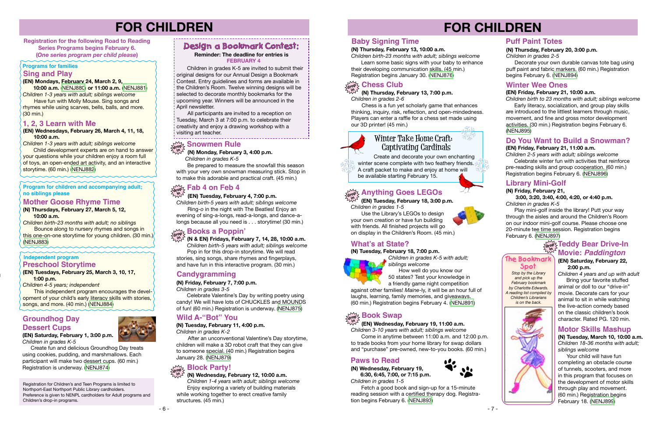# **FOR CHILDREN**

**Registration for the following Road to Reading Series Programs begins February 6. (***One series program per child please***)**

# **Programs for families**

# **FOR CHILDREN**

# **Independent program**

#### **(EN) Mondays, February 24, March 2, 9,**

 **10:00 a.m.** ([NENJ880](https://search.livebrary.com/record=g1095541~S43)) **or 11:00 a.m.** ([NENJ881](https://search.livebrary.com/record=g1095547~S43)) *Children 1-3 years with adult; siblings welcome*

 Have fun with Molly Mouse. Sing songs and rhymes while using scarves, bells, balls, and more. (30 min.)

**Child development experts are on hand to answer** your questions while your children enjoy a room full of toys, an open-ended art activity, and an interactive storytime. (60 min.) ([NENJ882\)](https://search.livebrary.com/record=g1095548~S43)

#### **Sing and Play**

**(EN) Tuesdays, February 25, March 3, 10, 17, 1:00 p.m.** 

*Children 4-5 years; independent* 

 This independent program encourages the development of your child's early literacy skills with stories, songs, and more. (40 min.) ([NENJ884](https://search.livebrary.com/record=g1095297~S43))

Be prepared to measure the snowfall this season with your very own snowman measuring stick. Stop in to make this adorable and practical craft. (45 min.)

# **Preschool Storytime**

## **1, 2, 3 Learn with Me**

**(EN) Wednesdays, February 26, March 4, 11, 18, 10:00 a.m.**

*Children 1-3 years with adult; siblings welcome*

Use the Library's LEGOs to design your own creation or have fun building with friends. All finished projects will go on display in the Children's Room. (45 min.)

 **(N & EN) Fridays, February 7, 14, 28, 10:00 a.m.**

 *Children birth-5 years with adult; siblings welcome* Pop in for this drop-in storytime. We will read stories, sing songs, share rhymes and fingerplays, and have fun in this interactive program. (30 min.)

 **(N) Monday, February 3, 4:00 p.m.**

*Children in grades K-5* 

Decorate your own durable canvas tote bag using puff paint and fabric markers. (60 min.) Registration begins February 6. ([NENJ894](https://search.livebrary.com/record=g1096347~S43))

# **Snowmen Rule drop in**

 **(N) Thursday, February 13, 7:00 p.m.** *Children in grades 2-6* **in**

 Chess is a fun yet scholarly game that enhances thinking, inquiry, risk, reflection, and open-mindedness. Players can enter a raffle for a chess set made using our 3D printer! (45 min.)

#### **(EN) Tuesday, February 18, 3:00 p.m.**  *Children in grades 1-5* **in**

#### **Program for children and accompanying adult; no siblings please**

**(N) Thursdays, February 27, March 5, 12, 10:00 a.m.** 

*Children birth-23 months with adult; no siblings* Bounce along to nursery rhymes and songs in

this one-on-one storytime for young children. (30 min.) ([NENJ883\)](https://search.livebrary.com/record=g1095291~S43)

#### **Mother Goose Rhyme Time**

## **(EN) Wednesday, February 19, 11:00 a.m.**

*Children 3-10 years with adult; siblings welcome*  Come in anytime between 11:00 a.m. and 12:00 p.m. to trade books from your home library for swap dollars and "purchase" pre-owned, new-to-you books. (60 min.)

# **drop Book Swap in**

 Create and decorate your own enchanting winter scene complete with two feathery friends. A craft packet to make and enjoy at home will be available starting February 15.

# $\frac{1}{\text{drop}}$  Anything Goes LEGOs

# **Winter Take Home Craft: Captivating Cardinals**

*Stop by the Library and pick up the February bookmark by Charlotte Edwards. A reading list compiled by Children's Librarians is on the back.*



#### **The Bookmark Spot**

# **Puff Paint Totes**

## **(N) Thursday, February 20, 3:00 p.m.**

*Children in grades 2-5*

## **Winter Wee Ones**

#### **(EN) Friday, February 21, 10:00 a.m.**

*Children birth to 23 months with adult; siblings welcome* Early literacy, socialization, and group play skills are introduced to the littlest learners through music, movement, and fine and gross motor development activities. (30 min.) Registration begins February 6. [\(NENJ895\)](https://search.livebrary.com/record=g1095527~S43)

# **drop 2 Teddy Bear Drive-In Movie:** *Paddington*

# **What's at State?**

#### **(N) Tuesday, February 18, 7:00 p.m.**



*Children in grades K-5 with adult; siblings welcome* How well do you know our 50 states? Test your knowledge in a friendly game night competition

against other families! *Maine*-ly, it will be an hour full of laughs, learning, family memories, and giveaways. (60 min.) Registration begins February 4. ([NENJ891](https://search.livebrary.com/record=g1096735~S43))



# **Groundhog Day Dessert Cups**

 Create fun and delicious Groundhog Day treats using cookies, pudding, and marshmallows. Each participant will make two dessert cups. (60 min.)

Registration is underway. ([NENJ874\)](https://search.livebrary.com/record=g1093983~S43)

 Children in grades K-5 are invited to submit their original designs for our Annual Design a Bookmark Contest. Entry guidelines and forms are available in the Children's Room. Twelve winning designs will be selected to decorate monthly bookmarks for the upcoming year. Winners will be announced in the April newsletter.

 All participants are invited to a reception on Tuesday, March 3 at 7:00 p.m. to celebrate their creativity and enjoy a drawing workshop with a visiting art teacher.

#### **Reminder: The deadline for entries is FEBRUARY 4**

## **(EN) Tuesday, February 4, 7:00 p.m.**

*Children birth-5 years with adult; siblings welcome* Ring-*o* in the night with The Beatles! Enjoy an evening of sing-a-longs, read-a-longs, and dance-alongs because all you need is . . . storytime! (30 min.)

# **Books a Poppin'**<br>a<sup>toop</sup> *A* Books a Poppin'

# **Fab 4 on Feb 4 drop in**

## **Candygramming**

#### **(N) Friday, February 7, 7:00 p.m.**

*Children in grades 3-5*

 Celebrate Valentine's Day by writing poetry using candy! We will have lots of CHUCKLES and MOUNDS of fun! (60 min.) Registration is underway. [\(NENJ875\)](https://search.livebrary.com/record=g1095900~S43)

# **Wild A-"Bot" You**

#### **(N) Tuesday, February 11, 4:00 p.m.** *Children in grades K-2*

 After an unconventional Valentine's Day storytime, children will make a 3D robot craft that they can give to someone special. (40 min.) Registration begins January 28. ([NENJ879](https://search.livebrary.com/record=g1096211~S43))

# **Block Party!**<br>arop > (N) Wednesday F

Registration for Children's and Teen Programs is limited to Northport-East Northport Public Library cardholders. Preference is given to NENPL cardholders for Adult programs and Children's drop-in programs.

# **Design a Bookmark Contest:**

# **Baby Signing Time**

#### **(N) Thursday, February 13, 10:00 a.m.**

*Children birth-23 months with adult; siblings welcome* Learn some basic signs with your baby to enhance their developing communication skills. (45 min.) Registration begins January 30. ([NENJ876](https://search.livebrary.com/record=g1095976~S43))

# $\lim\limits_{\Delta t \to \infty} \frac{1}{2}$  Chess Club

#### **Do You Want to Build a Snowman? (EN) Friday, February 21, 11:00 a.m.**

*Children 2-5 years with adult; siblings welcome* Celebrate winter fun with activities that reinforce pre-reading skills and group cooperation. (60 min.) Registration begins February 6. ([NENJ896](https://search.livebrary.com/record=g1095525~S43))

# **Library Mini-Golf**

#### **(N) Friday, February 21,**

#### **3:00, 3:20, 3:40, 4:00, 4:20, or 4:40 p.m.** *Children in grades K-5*

 Play mini-golf inside the library! Putt your way through the aisles and around the Children's Room on our indoor mini-golf course. Please choose one 20-minute tee time session. Registration begins February 6. ([NENJ897](https://search.livebrary.com/record=g1095300~S43))

## **(EN) Saturday, February 22, 2:00 p.m.**

*Children 4 years and up with adult* Bring your favorite stuffed

animal or doll to our "drive-in" movie. Decorate cars for your animal to sit in while watching the live-action comedy based on the classic children's book character. Rated PG. 120 min.

## **(N) Wednesday, February 12, 10:00 a.m.**

 *Children 1-4 years with adult; siblings welcome* Enjoy exploring a variety of building materials while working together to erect creative family structures. (45 min.)

# **Paws to Read**

**(N) Wednesday, February 19, 6:30, 6:45, 7:00, or 7:15 p.m.** *Children in grades 1-5*



 Fetch a good book and sign-up for a 15-minute reading session with a certified therapy dog. Registration begins February 6. ([NENJ893](https://search.livebrary.com/record=g1095728~S43))







أآثاري

# **Motor Skills Mashup**

**(N) Tuesday, March 10, 10:00 a.m.** *Children 18-36 months with adult; siblings welcome*

 Your child will have fun completing an obstacle course of tunnels, scooters, and more in this program that focuses on the development of motor skills through play and movement. (60 min.) Registration begins February 18. [\(NENJ899\)](https://search.livebrary.com/record=g1096197~S43)